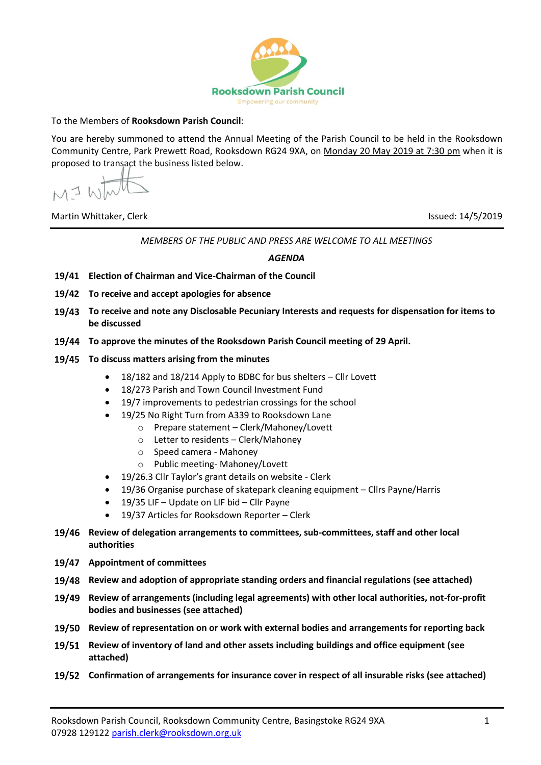

## To the Members of **Rooksdown Parish Council**:

You are hereby summoned to attend the Annual Meeting of the Parish Council to be held in the Rooksdown Community Centre, Park Prewett Road, Rooksdown RG24 9XA, on Monday 20 May 2019 at 7:30 pm when it is proposed to transact the business listed below.

 $MJV$ 

Martin Whittaker, Clerk Issued: 14/5/2019

*MEMBERS OF THE PUBLIC AND PRESS ARE WELCOME TO ALL MEETINGS*

*AGENDA*

- **19/41 Election of Chairman and Vice-Chairman of the Council**
- **19/42 To receive and accept apologies for absence**
- **To receive and note any Disclosable Pecuniary Interests and requests for dispensation for items to be discussed**
- **To approve the minutes of the Rooksdown Parish Council meeting of 29 April.**

## **To discuss matters arising from the minutes**

- 18/182 and 18/214 Apply to BDBC for bus shelters Cllr Lovett
- 18/273 Parish and Town Council Investment Fund
- 19/7 improvements to pedestrian crossings for the school
- 19/25 No Right Turn from A339 to Rooksdown Lane
	- o Prepare statement Clerk/Mahoney/Lovett
	- o Letter to residents Clerk/Mahoney
	- o Speed camera Mahoney
	- o Public meeting- Mahoney/Lovett
- 19/26.3 Cllr Taylor's grant details on website Clerk
- 19/36 Organise purchase of skatepark cleaning equipment Cllrs Payne/Harris
- 19/35 LIF Update on LIF bid Cllr Payne
- 19/37 Articles for Rooksdown Reporter Clerk
- **Review of delegation arrangements to committees, sub-committees, staff and other local authorities**
- **Appointment of committees**
- **Review and adoption of appropriate standing orders and financial regulations (see attached)**
- **Review of arrangements (including legal agreements) with other local authorities, not-for-profit bodies and businesses (see attached)**
- **Review of representation on or work with external bodies and arrangements for reporting back**
- **Review of inventory of land and other assets including buildings and office equipment (see attached)**
- **Confirmation of arrangements for insurance cover in respect of all insurable risks (see attached)**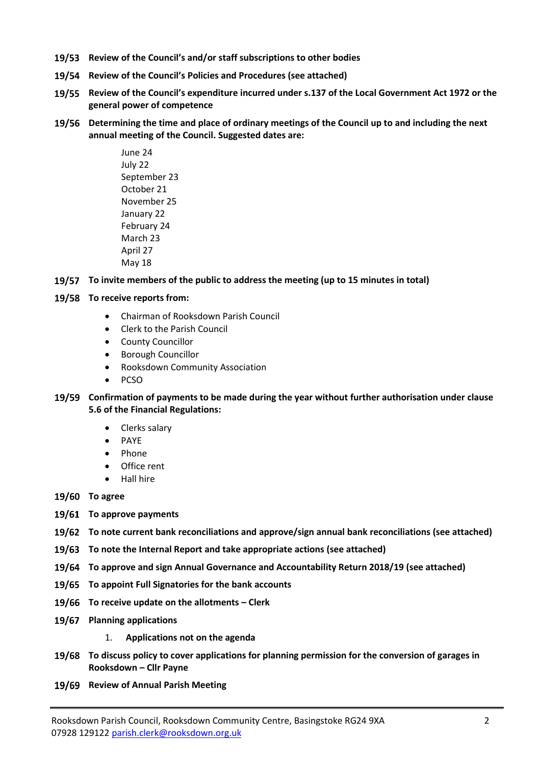- **Review of the Council's and/or staff subscriptions to other bodies**
- **Review of the Council's Policies and Procedures (see attached)**
- **Review of the Council's expenditure incurred under s.137 of the Local Government Act 1972 or the general power of competence**
- **Determining the time and place of ordinary meetings of the Council up to and including the next annual meeting of the Council. Suggested dates are:**

June 24 July 22 September 23 October 21 November 25 January 22 February 24 March 23 April 27 May 18

- **To invite members of the public to address the meeting (up to 15 minutes in total)**
- **To receive reports from:** 
	- Chairman of Rooksdown Parish Council
	- Clerk to the Parish Council
	- County Councillor
	- Borough Councillor
	- Rooksdown Community Association
	- PCSO
- **Confirmation of payments to be made during the year without further authorisation under clause 5.6 of the Financial Regulations:**
	- Clerks salary
	- PAYE
	- Phone
	- Office rent
	- Hall hire
- **To agree**
- **To approve payments**
- **To note current bank reconciliations and approve/sign annual bank reconciliations (see attached)**
- **To note the Internal Report and take appropriate actions (see attached)**
- **To approve and sign Annual Governance and Accountability Return 2018/19 (see attached)**
- **To appoint Full Signatories for the bank accounts**
- **To receive update on the allotments – Clerk**
- **Planning applications**
	- 1. **Applications not on the agenda**
- **To discuss policy to cover applications for planning permission for the conversion of garages in Rooksdown – Cllr Payne**
- **19/69** Review of Annual Parish Meeting